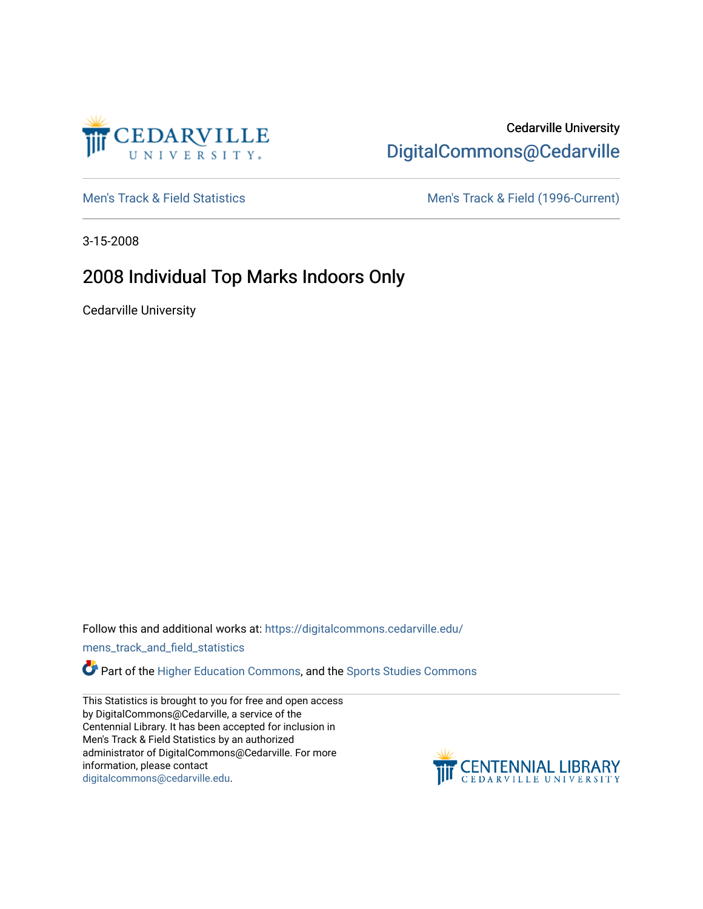

# Cedarville University [DigitalCommons@Cedarville](https://digitalcommons.cedarville.edu/)

[Men's Track & Field Statistics](https://digitalcommons.cedarville.edu/mens_track_and_field_statistics) [Men's Track & Field \(1996-Current\)](https://digitalcommons.cedarville.edu/mens_track_and_field) 

3-15-2008

### 2008 Individual Top Marks Indoors Only

Cedarville University

Follow this and additional works at: [https://digitalcommons.cedarville.edu/](https://digitalcommons.cedarville.edu/mens_track_and_field_statistics?utm_source=digitalcommons.cedarville.edu%2Fmens_track_and_field_statistics%2F195&utm_medium=PDF&utm_campaign=PDFCoverPages)

[mens\\_track\\_and\\_field\\_statistics](https://digitalcommons.cedarville.edu/mens_track_and_field_statistics?utm_source=digitalcommons.cedarville.edu%2Fmens_track_and_field_statistics%2F195&utm_medium=PDF&utm_campaign=PDFCoverPages)

Part of the [Higher Education Commons,](http://network.bepress.com/hgg/discipline/1245?utm_source=digitalcommons.cedarville.edu%2Fmens_track_and_field_statistics%2F195&utm_medium=PDF&utm_campaign=PDFCoverPages) and the Sports Studies Commons

This Statistics is brought to you for free and open access by DigitalCommons@Cedarville, a service of the Centennial Library. It has been accepted for inclusion in Men's Track & Field Statistics by an authorized administrator of DigitalCommons@Cedarville. For more information, please contact [digitalcommons@cedarville.edu](mailto:digitalcommons@cedarville.edu).

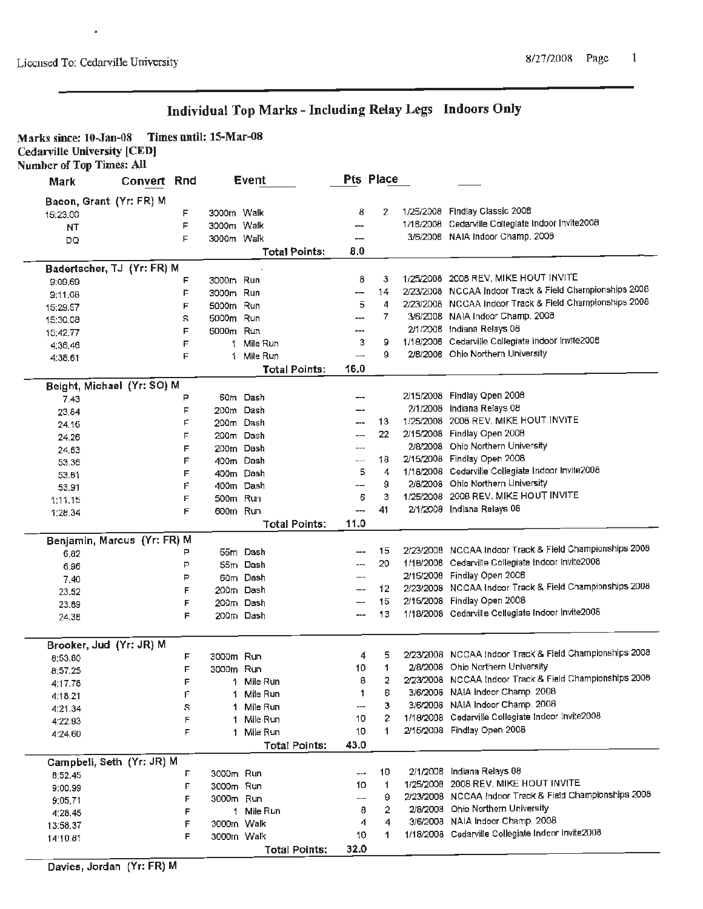**Marks since: 10-Jao-08 Times until: 15-Mar--08 Cedarville University [CED] Number** of **Top Times: All** 

| Mark                        | Convert Rnd |        |                        | Event                |                          | Pts Place |                                                                    |
|-----------------------------|-------------|--------|------------------------|----------------------|--------------------------|-----------|--------------------------------------------------------------------|
| Bacon, Grant (Yr: FR) M     |             |        |                        |                      |                          |           |                                                                    |
| 15:23.00                    |             | F      | 3000m Walk             |                      | 8                        | 2         | 1/25/2008 Findlay Classic 2008                                     |
| NT.                         |             | F      | 3000m Walk             |                      | ⊷                        |           | 1/18/2008 Cedarville Collegiate Indoor Invite2008                  |
| DQ                          |             | F      | 3000m Walk             |                      | ---                      |           | 3/6/2008 NAIA Indoor Champ. 2008                                   |
|                             |             |        |                        | <b>Total Points:</b> | 8.0                      |           |                                                                    |
| Badertscher, TJ (Yr: FR) M  |             |        |                        |                      |                          |           |                                                                    |
| 9:09.69                     |             | F      | 3000m Run              |                      | 8                        | 3         | 1/25/2008 2008 REV. MIKE HOUT INVITE                               |
| 9:11.08                     |             | F      | 3000m Run              |                      | $\overline{\phantom{a}}$ | 14        | 2/23/2008 NCCAA Indoor Track & Field Championships 2008            |
| 15:29.57                    |             | F      | 5000m Run              |                      | 5                        | 4         | 2/23/2008 NCCAA Indoor Track & Field Championships 2008            |
| 15:30.08                    |             | s      | 5000m Run              |                      | ---                      | 7         | 3/6/2008 NAIA Indoor Champ. 2008                                   |
| 15:42.77                    |             | F      | 5000m                  | Run                  | ---                      |           | 2/1/2008 Indiana Relays 08                                         |
| 4:36.46                     |             | F      | 1                      | Mile Run             | 3                        | 9         | 1/18/2008 Cedarville Collegiate Indoor Invite2008                  |
| 4:38.61                     |             | F      | 1                      | Mile Run             | ---                      | 9         | 2/8/2008 Ohio Northern University                                  |
|                             |             |        |                        | <b>Total Points:</b> | 16.0                     |           |                                                                    |
| Beight, Michael (Yr: SO) M  |             |        |                        |                      |                          |           |                                                                    |
| 7.43                        |             | Р      |                        | 60m Dash             | ---                      |           | 2/15/2008 Findlay Open 2008                                        |
| 23.84                       |             | F      | 200m                   | Dash                 | --                       |           | 2/1/2008 Indiana Relays 08                                         |
| 24.16                       |             | F      | 200m Dash              |                      | ---                      | 13        | 1/25/2008 2008 REV. MIKE HOUT INVITE                               |
| 24.26                       |             | F      | 200m Dash              |                      | ---                      | 22        | 2/15/2008 Findlay Open 2008                                        |
| 24.63                       |             | F      | 200m Dash              |                      | ---                      |           | 2/8/2008 Ohio Northern University                                  |
| 53.36                       |             | F      | 400m Dash              |                      | $-$                      | 18        | 2/15/2008 Findlay Open 2008                                        |
| 53.81                       |             | F      | 400m Dash              |                      | 5                        | 4         | 1/18/2008 Cedarville Collegiate Indoor Invite2008                  |
| 53.91                       |             | Ë      | 400m Dash              |                      | --                       | g         | 2/8/2008 Ohio Northern University                                  |
| 1:11.15                     |             | E      | 500m Run               |                      | 6                        | 3         | 1/25/2008 2008 REV. MIKE HOUT INVITE<br>2/1/2008 Indiana Relays 08 |
| 1:28.34                     |             | F      | 600m Run               |                      | ---                      | 41        |                                                                    |
|                             |             |        |                        | Total Points:        | 11.0                     |           |                                                                    |
| Benjamin, Marcus (Yr: FR) M |             | P      |                        | 55m Dash             | ---                      | 15        | 2/23/2008 NCCAA Indoor Track & Field Championships 2008            |
| 6,82                        |             | P      |                        | 55m Dash             | ---                      | 20        | 1/18/2008 Cedarville Collegiate Indoor Invite2008                  |
| 6.96                        |             | P      |                        | 60m Dash             | --                       |           | 2/15/2008 Findlay Open 2008                                        |
| 7.40                        |             | F      |                        | 200m Dash            | --                       | 12        | 2/23/2008 NCCAA Indoor Track & Field Championships 2008            |
| 23.52                       |             | F      |                        | 200m Dash            | --                       | 15        | 2/15/2008 Findlay Open 2008                                        |
| 23.89<br>24.38              |             | F      |                        | 200m Dash            |                          | 13        | 1/18/2008 Cedarville Collegiate Indoor Invite2008                  |
|                             |             |        |                        |                      |                          |           |                                                                    |
| Brooker, Jud (Yr: JR) M     |             |        |                        |                      |                          |           |                                                                    |
| 8:53.80                     |             | F      | 3000m Run              |                      | 4                        | 5         | 2/23/2008 NCCAA Indoor Track & Field Championships 2008            |
| 8:57.25                     |             | F      | 3000m Run              |                      | 10                       | 1         | 2/8/2008 Ohio Northern University                                  |
| 4:17.78                     |             | F      |                        | 1 Mile Run           | 8                        | 2         | 2/23/2008 NCCAA Indoor Track & Field Championships 2008            |
| 4:18.21                     |             | Ë      | 1.                     | Mile Run             | 1                        | 6         | 3/6/2008 NAIA Indoor Champ. 2008                                   |
| 4:21.34                     |             | S      | 1                      | Mile Run             | ---                      | з         | 3/6/2008 NAIA Indoor Champ. 2008                                   |
| 4:22.93                     |             | F      | 1.                     | Mile Run             | 10                       | 2         | 1/18/2008 Cedarville Collegiate Indoor Invite2008                  |
| 4:24.60                     |             | F      |                        | 1 Mile Run           | 10                       | 1         | 2/15/2008 Findlay Open 2008                                        |
|                             |             |        |                        | Total Points:        | 43.0                     |           |                                                                    |
| Campbell, Seth (Yr: JR) M   |             |        |                        |                      |                          | 10        | 2/1/2008 Indiana Relays 08                                         |
| 8:52.45                     |             | F      | 3000m Run<br>3000m Run |                      | ---<br>10                | 1         | 1/25/2008 2008 REV, MIKE HOUT INVITE                               |
| 9:00.99                     |             | F<br>F | 3000m Run              |                      | ---                      | 9         | 2/23/2008 NCCAA Indoor Track & Field Championships 2008            |
| 9:05.71                     |             | F      |                        | 1 Mile Run           | 8                        | 2         | 2/8/2008 Ohio Northern University                                  |
| 4:28.45                     |             | F      | 3000m Walk             |                      | 4                        | 4         | 3/6/2008 NAIA Indoor Champ. 2008                                   |
| 13:58.37                    |             | F      | 3000m Walk             |                      | 10                       | 1         | 1/18/2008 Cedarville Collegiate Indoor Invite2008                  |
| 14:10.81                    |             |        |                        | Total Points:        | 32.0                     |           |                                                                    |
|                             |             |        |                        |                      |                          |           |                                                                    |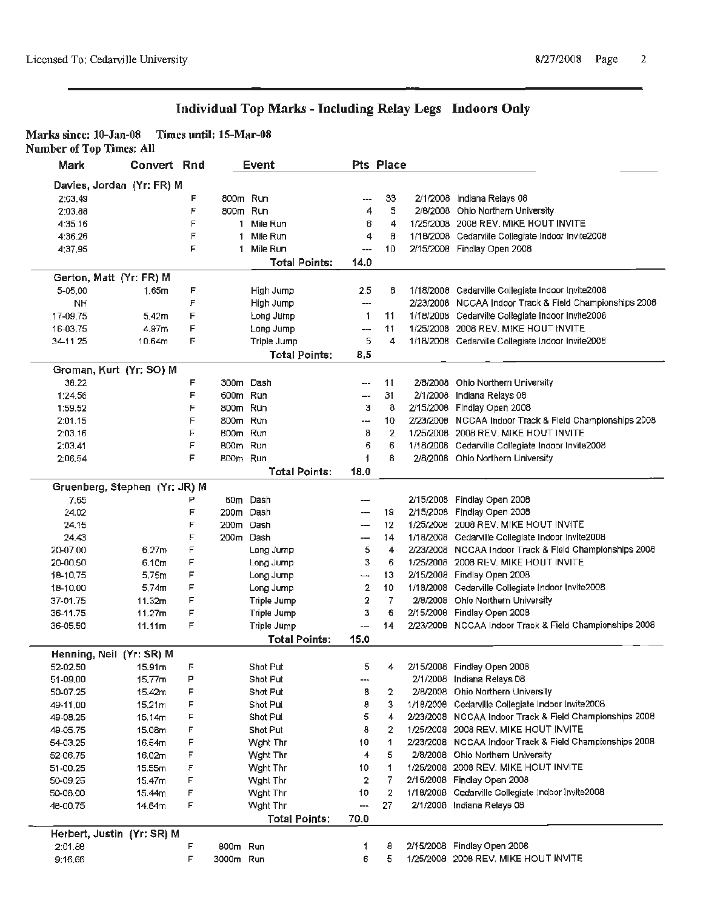### **Marks since: 10-Jan-08 Times until: 15-Mar-08 Number of Top Times: All**

| Mark     | Convert Rnd                   |        |              | Event                                      |                     | Pts Place      |                                                                  |
|----------|-------------------------------|--------|--------------|--------------------------------------------|---------------------|----------------|------------------------------------------------------------------|
|          | Davies, Jordan (Yr: FR) M     |        |              |                                            |                     |                |                                                                  |
| 2:03.49  |                               | F      | 800m Run     |                                            | ---                 | 33             | 2/1/2008 Indiana Relays 08                                       |
| 2:03.88  |                               | F      | 800m Run     |                                            | 4                   | 5              | 2/8/2008 Ohio Northern University                                |
| 4:35.16  |                               | F      | $\mathbf{1}$ | Mile Run                                   | 6                   | 4              | 1/25/2008 2008 REV, MIKE HOUT INVITE                             |
| 4:36.26  |                               | F      | 1            | Mile Run                                   | 4                   | 8              | 1/18/2008 Cedarville Collegiate Indoor Invite2008                |
| 4:37.95  |                               | Ė      | $\mathbf{1}$ | Mile Run                                   | $\overline{a}$      | 10             | 2/15/2008 Findlay Open 2008                                      |
|          |                               |        |              | <b>Total Points:</b>                       | 14.0                |                |                                                                  |
|          | Gerton, Matt (Yr: FR) M       |        |              |                                            |                     |                |                                                                  |
| 5-05.00  | 1,65m                         | F      |              | High Jump                                  | 2.5                 | 6              | 1/18/2008 Cedarville Collegiate Indoor Invite2008                |
| NH       |                               | F      |              | High Jump                                  | ---                 |                | 2/23/2008 NCCAA Indoor Track & Field Championships 2008          |
| 17-09.75 | 5.42m                         | F      |              | Long Jump                                  | 1                   | 11             | 1/18/2008 Cedarville Collegiate Indoor Invite2008                |
| 16-03.75 | 4.97m                         | F      |              | Long Jump                                  | ---                 | 11             | 1/25/2008 2008 REV, MIKE HOUT INVITE                             |
| 34-11.25 | 10.64m                        | F      |              | Triple Jump                                | 5                   | 4              | 1/18/2008 Cedarville Collegiate Indoor Invite2008                |
|          |                               |        |              | <b>Total Points:</b>                       | 8,5                 |                |                                                                  |
|          | Groman, Kurt (Yr: SO) M       |        |              |                                            |                     |                |                                                                  |
| 38.22    |                               | F      |              | 300m Dash                                  | ---                 | 11             | 2/8/2008 Ohio Northern University                                |
| 1:24.56  |                               | F      | 600m Run     |                                            |                     | 31             | 2/1/2008 Indiana Relays 08                                       |
| 1:59.52  |                               | F      | 800m Run     |                                            | э                   | 8              | 2/15/2008 Findlay Open 2008                                      |
| 2:01.15  |                               | F      | 800m Run     |                                            | ---                 | 10             | 2/23/2008 NCCAA Indoor Track & Field Championships 2008          |
| 2:03.16  |                               | F      | 800m Run     |                                            | 8                   | 2              | 1/25/2008 2008 REV, MIKE HOUT INVITE                             |
| 2:03.41  |                               | F      | 800m Run     |                                            | 6                   | 6              | 1/18/2008 Cedarville Collegiate Indoor Invite2008                |
| 2:06.54  |                               | F      | 800m Run     |                                            | 1                   | 8              | 2/8/2008 Ohio Northern University                                |
|          |                               |        |              | <b>Total Points:</b>                       | 18.0                |                |                                                                  |
|          | Gruenberg, Stephen (Yr: JR) M |        |              |                                            |                     |                |                                                                  |
| 7.65     |                               | Р      |              | 60m Dash                                   | ---                 |                | 2/15/2008 Findlay Open 2008                                      |
| 24.02    |                               | F      |              | 200m Dash                                  | ---                 | 19             | 2/15/2008 Findlay Open 2008                                      |
| 24.15    |                               | F      |              | 200m Dash                                  | ---                 | 12             | 1/25/2008 2008 REV, MIKE HOUT INVITE                             |
| 24.43    |                               | F      |              | 200m Dash                                  | ---                 | 14             | 1/18/2008 Cedarville Collegiate Indoor Invite2008                |
| 20-07.00 | 6.27m                         | F      |              | Long Jump                                  | 5                   | 4              | 2/23/2008 NCCAA Indoor Track & Field Championships 2008          |
| 20-00.50 | 6.10 <sub>m</sub>             | F      |              | Long Jump                                  | 3                   | 6              | 1/25/2008 2008 REV, MIKE HOUT INVITE                             |
| 18-10.75 | 5.75m                         | F      |              | Long Jump                                  | —⊶                  | 13             | 2/15/2008 Findlay Open 2008                                      |
| 18-10.00 | 5.74 <sub>m</sub>             | F<br>F |              | Long Jump                                  | 2                   | 10             | 1/18/2008 Cedarville Collegiate Indoor Invite2008                |
| 37-01.75 | 11.32m                        | F      |              | Triple Jump                                | $\overline{2}$<br>3 | $\overline{I}$ | 2/8/2008 Ohlo Northern University<br>2/15/2008 Findlay Open 2008 |
| 36-11.75 | 11.27m                        |        |              | Triple Jump                                |                     | 6              |                                                                  |
| 36-05.50 | 11.11m                        | F      |              | <b>Triple Jump</b><br><b>Total Points:</b> | ---<br>15.0         | 14             | 2/23/2008 NCCAA Indoor Track & Field Championships 2008          |
|          | Henning, Neil (Yr: SR) M      |        |              |                                            |                     |                |                                                                  |
| 52-02.50 | 15.91 <sub>m</sub>            | F      |              | Shot Put                                   | 5                   | 4              | 2/15/2008 Findlay Open 2008                                      |
| 51-09.00 | 15.77m                        | Р      |              | Shot Put                                   | ---                 |                | 2/1/2008 Indiana Relays 08                                       |
| 50-07.25 | 15.42m                        | F      |              | Shot Put                                   | 8                   | 2              | 2/8/2008 Ohio Northern University                                |
| 49-11.00 | 15.21m                        | F      |              | Shot Put                                   | 8                   | 3              | 1/18/2008 Cedarville Collegiate Indoor Invite2008                |
| 49-08.25 | 15.14 <sub>m</sub>            | F      |              | Shot Pul                                   | 5                   | 4              | 2/23/2008 NCCAA Indoor Track & Field Championships 2008          |
| 49-05.75 | 15.08m                        | F      |              | Shot Put                                   | 8                   | 2              | 1/25/2008 2008 REV. MIKE HOUT INVITE                             |
| 54-03.25 | 16.54m                        | F      |              | Wght Thr                                   | 10                  | 1              | 2/23/2008 NCCAA Indoor Track & Field Championships 2008          |
| 52-06.75 | 16.02m                        | F      |              | Wght Thr                                   | 4                   | 5              | 2/8/2008 Ohio Northern University                                |
| 51-00.25 | 15.55m                        | F      |              | Wght Thr                                   | 10                  | 1              | 1/25/2008 2008 REV. MIKE HOUT INVITE                             |
| 50-09.25 | 15.47m                        | F      |              | Wght Thr                                   | 2                   | 7              | 2/15/2008 Findlay Open 2008                                      |
| 50-08.00 | 15.44m                        | F      |              | Wght Thr                                   | 10                  | 2              | 1/18/2008 Cedarville Collegiate Indoor Invite2008                |
| 48-00.75 | 14.64m                        | F      |              | Wght Thr                                   | ---                 | 27             | 2/1/2008 Indiana Relays 08                                       |
|          |                               |        |              | <b>Total Points:</b>                       | 70.0                |                |                                                                  |
|          | Herbert, Justin (Yr: SR) M    |        |              |                                            |                     |                |                                                                  |
| 2:01.88  |                               | F      | 800m Run     |                                            |                     | 8              | 2/15/2008 Findlay Open 2008                                      |
| 9:16.66  |                               | F      | 3000m Run    |                                            | 6                   | 5              | 1/25/2008 2008 REV, MIKE HOUT INVITE                             |
|          |                               |        |              |                                            |                     |                |                                                                  |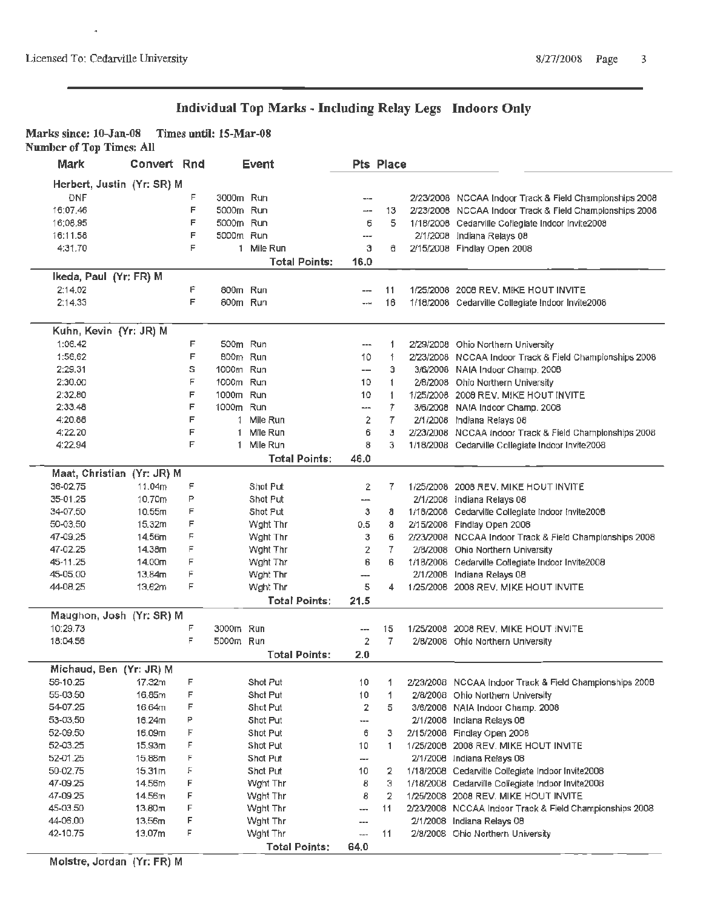$\overline{a}$ 

### **Individual Top Marks** - **Including Relay Legs Indoors Only**

### **Marks since: 10-Jan-08 Times until: 15-Mar-08 Number of Top Times: All**

| Mark                       | Convert Rnd |        |              | <b>Event</b>                     |                               | Pts Place      |                                                         |
|----------------------------|-------------|--------|--------------|----------------------------------|-------------------------------|----------------|---------------------------------------------------------|
| Herbert, Justin (Yr: SR) M |             |        |              |                                  |                               |                |                                                         |
| <b>DNF</b>                 |             | F      | 3000m Run    |                                  | $---$                         |                | 2/23/2008 NCCAA Indoor Track & Field Championships 2008 |
| 16:07.46                   |             | F      | 5000m Run    |                                  | ---                           | 13             | 2/23/2008 NCCAA Indoor Track & Field Championships 2008 |
| 16:08.95                   |             | F      | 5000m Run    |                                  | 6                             | 5              | 1/18/2008 Cedarville Collegiate Indoor Invite2008       |
| 16:11.58                   |             | F      | 5000m Run    |                                  | ---                           |                | 2/1/2008 Indiana Relays 08                              |
| 4:31.70                    |             | F      |              | 1 Mile Run                       | 3                             | е              | 2/15/2008 Findlay Open 2008                             |
|                            |             |        |              | <b>Total Points:</b>             | 16.0                          |                |                                                         |
| Ikeda, Paul (Yr: FR) M     |             |        |              |                                  |                               |                |                                                         |
| 2:14.02                    |             | F      | 800m Run     |                                  |                               | 11             | 1/25/2008 2008 REV, MIKE HOUT INVITE                    |
| 2:14.33                    |             | F      | 800m Run     |                                  | $-$                           | 16             | 1/18/2008 Cedarville Collegiate Indoor Invite2008       |
| Kuhn, Kevin (Yr: JR) M     |             |        |              |                                  |                               |                |                                                         |
| 1:06.42                    |             | F      | 500m Run     |                                  | ---                           | 1              | 2/29/2008 Ohio Northern University                      |
| 1:56.62                    |             | F      | 800m Run     |                                  | 10                            | 1              | 2/23/2008 NCCAA Indoor Track & Field Championships 2008 |
| 2:29.31                    |             | s      | 1000m Run    |                                  | --                            | э              | 3/6/2008 NAIA Indoor Champ, 2008                        |
| 2:30.00                    |             | F      | 1000m Run    |                                  | 10                            | 1              |                                                         |
|                            |             | F      | 1000m Run    |                                  |                               |                | 2/8/2008 Ohio Northern University                       |
| 2:32.80<br>2:33.48         |             | F      |              | Run                              | 10                            | 1              | 1/25/2008 2008 REV, MIKE HOUT INVITE                    |
|                            |             | F      | 1000m        |                                  | ---                           | 7              | 3/6/2008 NAIA Indoor Champ. 2008                        |
| 4:20.88                    |             |        | $\mathbf{1}$ | Mile Run                         | 2                             | 7              | 2/1/2008 Indiana Relays 08                              |
| 4:22.20                    |             | F<br>F | 1            | Mile Run                         | 6                             | з              | 2/23/2008 NCCAA indoor Track & Field Championships 2008 |
| 4:22.94                    |             |        | 1            | Mile Run<br><b>Total Points:</b> | 8<br>46.0                     | 3              | 1/18/2008 Cedarville Collegiate Indoor Invite2008       |
| Maat, Christian (Yr: JR) M |             |        |              |                                  |                               |                |                                                         |
| 36-02.75                   | 11.04m      | ۴      |              | Shot Put                         | 2                             | 7              | 1/25/2008 2008 REV. MIKE HOUT INVITE                    |
| 35-01.25                   | 10.70m      | P      |              | Shot Put                         | ---                           |                | 2/1/2008 Indiana Relays 08                              |
| 34-07.50                   | 10.55m      | F      |              | Shot Put                         | з                             | 8              | 1/18/2008 Cedarville Collegiate Indoor Invite2008       |
| 50-03.50                   | 15.32m      | F      |              | Wght Thr                         | 0.5                           | 8              | 2/15/2008 Findlay Open 2008                             |
| 47-09.25                   | 14.56m      | F      |              | Wght Thr                         | з                             | 6              | 2/23/2008 NCCAA Indoor Track & Field Championships 2008 |
| 47-02.25                   | 14.38m      | F      |              | Wght Thr                         | 2                             | 7              | 2/8/2008 Ohio Northern University                       |
| 45-11.25                   | 14.00m      | F      |              | Wght Thr                         | 6                             | 6              | 1/18/2008 Cedarville Collegiate Indoor Invite2008       |
| 45-05.00                   | 13.84m      | Ė      |              | Wght Thr                         | ---                           |                | 2/1/2008 Indiana Relays 08                              |
| 44-08.25                   | 13.62m      | F      |              | Wght Thr                         | 5                             | 4              | 1/25/2008 2008 REV, MIKE HOUT INVITE                    |
|                            |             |        |              | <b>Total Points:</b>             | 21.5                          |                |                                                         |
| Maughon, Josh (Yr: SR) M   |             |        |              |                                  |                               |                |                                                         |
| 10:29.73                   |             | F      | 3000m Run    |                                  | ---                           | 15             | 1/25/2008 2008 REV, MIKE HOUT INVITE                    |
| 18:04.56                   |             | F      | 5000m Run    |                                  | $\overline{2}$                | 7              | 2/8/2008 Ohio Northern University                       |
|                            |             |        |              | <b>Total Points:</b>             | 2.0                           |                |                                                         |
| Michaud, Ben (Yr: JR) M    |             |        |              |                                  |                               |                |                                                         |
| 56-10.25                   | 17.32m      | F      |              | Shot Put                         | 10                            | 1              | 2/23/2008 NCCAA Indoor Track & Field Championships 2008 |
| 55-03.50                   | 16,85m      | F      |              | Shot Put                         | 10                            | 1              | 2/8/2008 Ohio Northern University                       |
| 54-07.25                   | 16.64m      | F      |              | Shot Put                         | $\overline{2}$                | 5              | 3/6/2008 NAIA Indoor Champ. 2008                        |
| 53-03.50                   | 16.24m      | P      |              | Shot Put                         | ---                           |                | 2/1/2008 Indiana Relays 08                              |
| 52-09.50                   | 16.09m      | F      |              | Shot Put                         | 6                             | з              | 2/15/2008 Findlay Open 2008                             |
| 52-03.25                   | 15.93m      | F      |              | Shot Put                         | 10                            | 1              | 1/25/2008 2008 REV. MIKE HOUT INVITE                    |
| 52-01.25                   | 15.88m      | F      |              | Shot Put                         | ---                           |                | 2/1/2008 Indiana Relays 08                              |
| 50-02.75                   | 15.31m      | F      |              | Shot Put                         | 10                            | 2              | 1/18/2008 Cedarville Collegiate Indoor Invite2008       |
| 47-09.25                   | 14.56m      | F      |              | Wght Thr                         | 8                             | Э              | 1/18/2008 Cedarville Collegiate Indoor Invite2008       |
| 47-09.25                   | 14,56m      | F      |              | Wght Thr                         | 8                             | $\overline{2}$ | 1/25/2008 2008 REV. MIKE HOUT INVITE                    |
| 45-03.50                   | 13.80m      | F      |              | Wght Thr                         | ---                           | 11             | 2/23/2008 NCCAA Indoor Track & Field Championships 2008 |
| 44-06.00                   | 13.56m      | F      |              | Wght Thr                         | ---                           |                | 2/1/2008 Indiana Relays 08                              |
| 42-10.75                   | 13.07m      | F      |              | Wght Thr                         | $\rightarrow$ n $\rightarrow$ | 11             | 2/8/2008 Ohio Northern University                       |
|                            |             |        |              | <b>Total Points:</b>             | 64.0                          |                |                                                         |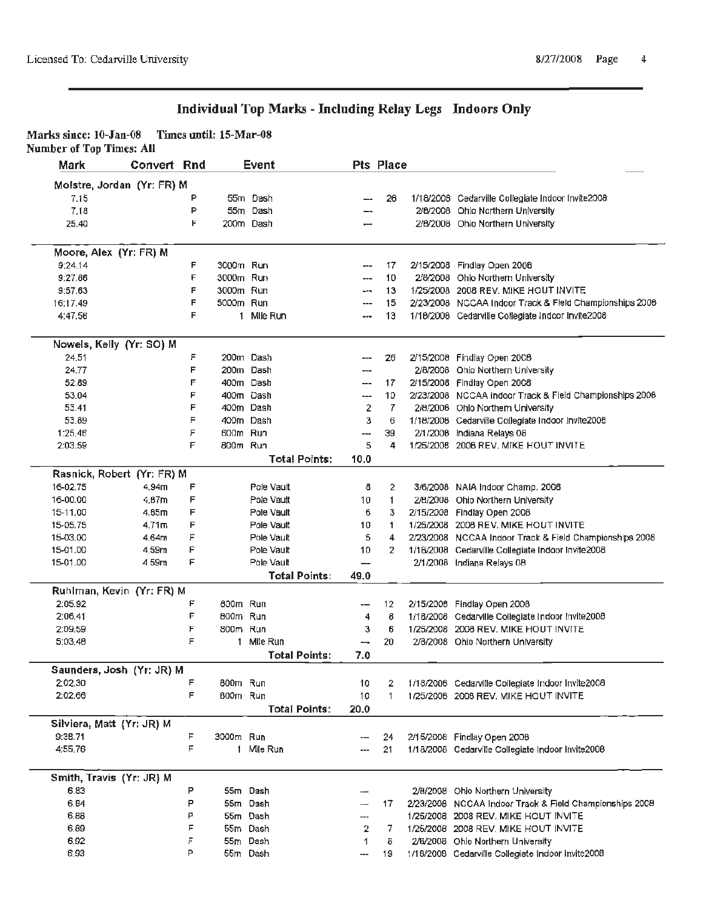| Marks since: 10-Jan-08          | Times until: 15-Mar-08 |  |
|---------------------------------|------------------------|--|
| <b>Number of Top Times: All</b> |                        |  |

| Mark     | Convert Rnd                |        |           | Event                              |                          | <b>Pts Place</b> |                                                         |
|----------|----------------------------|--------|-----------|------------------------------------|--------------------------|------------------|---------------------------------------------------------|
|          | Molstre, Jordan (Yr: FR) M |        |           |                                    |                          |                  |                                                         |
| 7.15     |                            | P      |           | 55m Dash                           |                          | 26               | 1/18/2008 Cedarville Collegiate Indoor Invite2008       |
| 7.18     |                            | P      | 55m       | Dash                               |                          |                  | 2/8/2008 Ohio Northern University                       |
| 25.40    |                            | F      |           | 200m Dash                          |                          |                  | 2/8/2008 Ohio Northern University                       |
|          | Moore, Alex (Yr: FR) M     |        |           |                                    |                          |                  |                                                         |
| 9:24.14  |                            | F      | 3000m Run |                                    | ---                      | 17               | 2/15/2008 Findlay Open 2008                             |
| 9:27.86  |                            | F      | 3000m Run |                                    | ---                      | 10               | 2/8/2008 Ohio Northern University                       |
| 9:57.63  |                            | F      | 3000m Run |                                    | والنيو                   | 13               | 1/25/2008 2008 REV. MIKE HOUT INVITE                    |
| 16:17.49 |                            | F      | 5000m Run |                                    | ---                      | 15               | 2/23/2008 NCCAA Indoor Track & Field Championships 2008 |
| 4:47.56  |                            | F      |           | 1 Mile Run                         | aan                      | 13               | 1/18/2008 Cedarville Collegiate Indoor Invite2008       |
|          | Nowels, Kelly (Yr: SO) M   |        |           |                                    |                          |                  |                                                         |
| 24.51    |                            | F      |           | 200m Dash                          |                          | 26               | 2/15/2008 Findlay Open 2008                             |
| 24.77    |                            | F      |           | 200m Dash                          |                          |                  | 2/8/2008 Ohio Northern University                       |
| 52.89    |                            | F      |           | 400m Dash                          | $\overline{\phantom{a}}$ | 17               | 2/15/2008 Findlay Open 2008                             |
| 53.04    |                            | F      |           | 400m Dash                          | ---                      | 10               | 2/23/2008 NCCAA Indoor Track & Field Championships 2006 |
| 53.41    |                            | F      |           | 400m Dash                          | 2                        | 7                | 2/8/2006 Ohio Northern University                       |
| 53.89    |                            | F      |           | 400m Dash                          | з                        | 6                | 1/18/2008 Cedarville Collegiate Indoor Invite2008       |
| 1:25.46  |                            | F      | 600m Run  |                                    | ---                      | 39               | 2/1/2008 Indiana Relays 08                              |
| 2:03.59  |                            | E      | 800m Run  |                                    | 5                        | 4                | 1/25/2008 2008 REV, MIKE HOUT INVITE                    |
|          |                            |        |           | <b>Total Points:</b>               | 10.0                     |                  |                                                         |
|          | Rasnick, Robert (Yr: FR) M |        |           |                                    |                          |                  |                                                         |
| 16-02.75 | 4.94 <sub>m</sub>          | F      |           | Pole Vault                         | 8                        | 2                | 3/6/2008 NAIA Indoor Champ. 2008                        |
| 16-00.00 | 4.B7m                      | F      |           | Pole Vault                         | 10                       | 1                | 2/8/2008 Ohio Northern University                       |
| 15-11.00 | 4.85m                      | F      |           | Pole Vault                         | 6                        | 3                | 2/15/2008 Findlay Open 2008                             |
| 15-05.75 | 4.71 <sub>m</sub>          | F      |           | Pole Vault                         | 10                       | 1                | 1/25/2008 2008 REV. MIKE HOUT INVITE                    |
| 15-03.00 | 4.64m                      | F      |           | Pole Vault                         | 5                        | 4                | 2/23/2008 NCCAA Indoor Track & Field Championships 2008 |
| 15-01.00 | 4.59m                      | F      |           | Pole Vault                         | 10                       | $\mathbf{2}$     | 1/18/2008 Cedarville Collegiate Indoor Invite2008       |
| 15-01.00 | 4.59m                      | F      |           | Pole Vault                         | --                       |                  | 2/1/2008 Indiana Relays 08                              |
|          |                            |        |           | <b>Total Points:</b>               | 49.0                     |                  |                                                         |
|          | Ruhlman, Kevin (Yr: FR) M  |        |           |                                    |                          |                  |                                                         |
| 2:05.92  |                            | F      | 800m Run  |                                    | --                       | 12               | 2/15/2008 Findlay Open 2008                             |
| 2:06.41  |                            | F      | 800m Run  |                                    | 4                        | 8                | 1/18/2008 Cedarville Collegiate Indoor Invite2008       |
| 2:09.59  |                            | F<br>F | 800m Run  |                                    | з                        | 6                | 1/25/2008 2008 REV. MIKE HOUT INVITE                    |
| 5:03.48  |                            |        |           | 1 Mile Run<br><b>Total Points:</b> | ⊷.<br>7.0                | 20               | 2/8/2008 Ohio Northern University                       |
|          | Saunders, Josh (Yr: JR) M  |        |           |                                    |                          |                  |                                                         |
| 2:02.30  |                            | F      | 800m Run  |                                    | 10                       | 2                | 1/18/2008 Cedarville Collegiate Indoor Invite2008       |
| 2:02.66  |                            | F      | 600m Run  |                                    | 10                       | 1.               | 1/25/2008 2008 REV, MIKE HOUT INVITE                    |
|          |                            |        |           | Total Points:                      | 20.0                     |                  |                                                         |
|          | Silviera, Matt (Yr: JR) M  |        |           |                                    |                          |                  |                                                         |
| 9:36.71  |                            | F      | 3000m Run |                                    |                          | 24               | 2/15/2008 Findlay Open 2008                             |
| 4:55.76  |                            | F      |           | 1 Mile Run                         |                          | 21               | 1/18/2008 Cedarville Collegiate Indoor Invite2008       |
|          | Smith, Travis (Yr: JR) M   |        |           |                                    |                          |                  |                                                         |
| 6.83     |                            | Р      |           | 55m Dash                           |                          |                  | 2/8/2008 Ohio Northern University                       |
| 6.84     |                            | P      |           | 55m Dash                           |                          | 17               | 2/23/2008 NCCAA Indoor Track & Field Championships 2008 |
| 6,88     |                            | Р      |           | 55m Dash                           | ---                      |                  | 1/25/2008 2008 REV. MIKE HOUT INVITE                    |
| 6,89     |                            | F      |           | 55m Dash                           | 2                        | 7                | 1/25/2008 2008 REV. MIKE HOUT INVITE                    |
| 6.92     |                            | F      |           | 55m Dash                           | 1                        | 8                | 2/B/2008 Ohio Northern University                       |
| 6,93     |                            | P      |           | 55m Dash                           | ---                      | 19               | 1/18/2008 Cedarville Collegiate Indoor Invite2008       |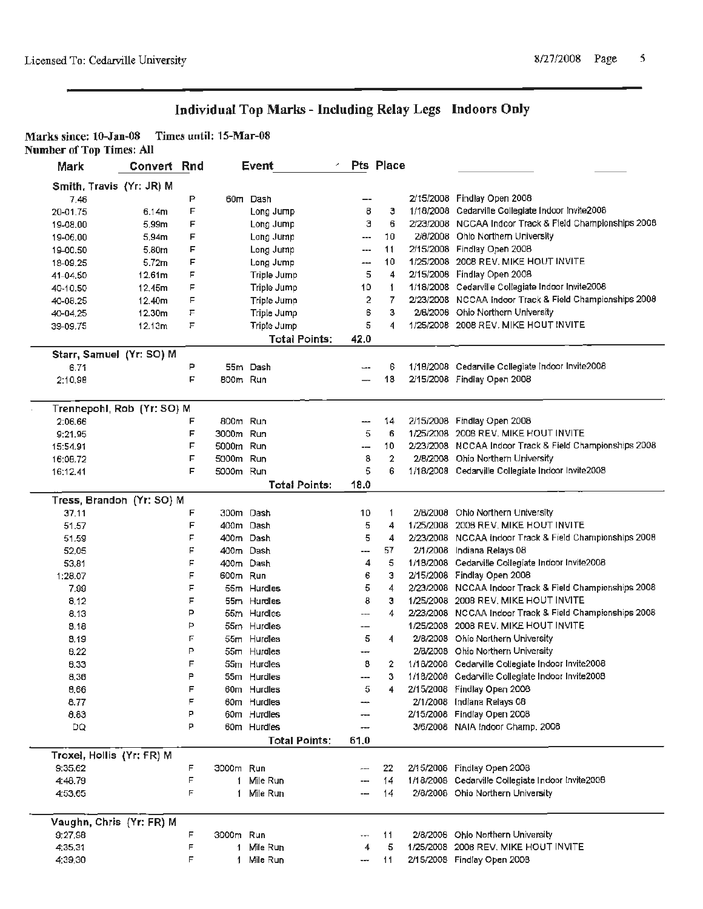| Marks since: 10-Jan-08          | Times until: 15-Mar-08 |  |
|---------------------------------|------------------------|--|
| <b>Number of Top Times: All</b> |                        |  |

| тицерст от тор тицем тал<br>Mark | Convert Rnd |   |           | Event                |       | Pts Place      |                                                         |
|----------------------------------|-------------|---|-----------|----------------------|-------|----------------|---------------------------------------------------------|
| Smith, Travis (Yr: JR) M         |             |   |           |                      |       |                |                                                         |
| 7.46                             |             | P |           | 60m Dash             |       |                | 2/15/2008 Findlay Open 2008                             |
| 20-01.75                         | 6.14m       | F |           | Long Jump            | 8     | з              | 1/18/2008 Cedarville Collegiate Indoor Invite2008       |
| 19-08.00                         | 5.99m       | F |           | Long Jump            | з     | 6              | 2/23/2008 NCCAA Indoor Track & Field Championships 2008 |
| 19-06.00                         | 5,94m       | F |           | Long Jump            | ---   | 10             | 2/8/2008 Ohio Northern University                       |
| 19-00.50                         | 5.80m       | F |           | Long Jump            | ---   | 11             | 2/15/2008 Findlay Open 2008                             |
| 18-09.25                         | 5.72m       | F |           | Long Jump            | ---   | 10             | 1/25/2008 2008 REV, MIKE HOUT INVITE                    |
| 41-04.50                         | 12.61m      | F |           | Triple Jump          | 5     | 4              | 2/15/2008 Findlay Open 2008                             |
| 40-10.50                         | 12.45m      | F |           | Triple Jump          | 10    | 1              | 1/18/2008 Cedarville Collegiate Indoor Invite2008       |
| 40-08.25                         | 12.40m      | F |           | Triple Jump          | 2     | 7              | 2/23/2008 NCCAA Indoor Track & Field Championships 2008 |
| 40-04.25                         | 12.30m      | F |           | Triple Jump          | 6     | з              | 2/6/2008 Ohio Northern University                       |
| 39-09.75                         | 12.13m      | F |           | Triple Jump          | 5     | 4              | 1/25/2008 2008 REV. MIKE HOUT INVITE                    |
|                                  |             |   |           | <b>Total Points:</b> | 42.0  |                |                                                         |
| Starr, Samuel (Yr: SO) M         |             |   |           |                      |       |                |                                                         |
| 6.71                             |             | P |           | 55m Dash             | $-$   | 6              | 1/18/2008 Cedarville Collegiate Indoor Invite2008       |
| 2:10.98                          |             | F | 800m Run  |                      |       | 18             | 2/15/2008 Findlay Open 2008                             |
|                                  |             |   |           |                      |       |                |                                                         |
| Trennepohl, Rob (Yr: SO) M       |             |   |           |                      |       |                |                                                         |
| 2:06.66                          |             | F | 800m Run  |                      |       | 14             | 2/15/2008 Findlay Open 2008                             |
| 9:21.95                          |             | F | 3000m Run |                      | 5     | 6              | 1/25/2008 2008 REV. MIKE HOUT INVITE                    |
| 15:54.91                         |             | F | 5000m Run |                      | ---   | 10             | 2/23/2008 NCCAA Indoor Track & Field Championships 2008 |
| 16:08.72                         |             | F | 5000m Run |                      | 8     | $\overline{2}$ | 2/8/2008 Ohio Northern University                       |
| 16:12.41                         |             | F | 5000m Run |                      | 5     | 6              | 1/18/2008 Cedaryille Collegiate Indoor Invite2008       |
|                                  |             |   |           | <b>Total Points:</b> | 18.0  |                |                                                         |
| Tress, Brandon (Yr: SO) M        |             |   |           |                      |       |                |                                                         |
| 37.11                            |             | F |           | 300m Dash            | 10    | 1              | 2/6/2008 Ohio Northern University                       |
| 51.57                            |             | F |           | 400m Dash            | 5     | 4              | 1/25/2008 2008 REV, MIKE HOUT INVITE                    |
| 51.59                            |             | F |           | 400m Dash            | 5     | 4              | 2/23/2008 NCCAA Indoor Track & Field Championships 2008 |
| 52,05                            |             | F |           | 400m Dash            | ---   | 57             | 2/1/2008 Indiana Relays 08                              |
| 53,81                            |             | F |           | 400m Dash            | 4     | 5              | 1/18/2008 Cedarville Collegiate Indoor Invite2008       |
| 1:28.07                          |             | F | 600m Run  |                      | 6     | з              | 2/15/2008 Findlay Open 2008                             |
| 7.99                             |             | F |           | 55m Hurdles          | 5     | 4              | 2/23/2008 NCCAA Indoor Track & Field Championships 2008 |
| 8.12                             |             | E |           | 55m Hurdles          | 8     | з              | 1/25/2008 2008 REV, MIKE HOUT INVITE                    |
| 8.13                             |             | P |           | 55m Hurdles          | ---   | 4              | 2/23/2008 NCCAA Indoor Track & Field Championships 2008 |
| 8.18                             |             | P |           | 55m Hurdles          | --    |                | 1/25/2008 2008 REV. MIKE HOUT INVITE                    |
| 8.19                             |             | F |           | 55m Hurdles          | 5     | 4              | 2/8/2008 Ohio Northern University                       |
| 8.22                             |             | P |           | 55m Hurdles          | ---   |                | 2/8/2008 Ohio Northern University                       |
| 8.33                             |             | F |           | 55m Hurdles          | 8     | 2              | 1/18/2008 Cedarville Collegiate Indoor Invite2008       |
| 8,36                             |             | P |           | 55m Hurdles          | ---   | з              | 1/18/2008 Cedarville Collegiate Indoor Invite2008       |
| 8.66                             |             | F |           | 60m Hurdles          | 5     | 4              | 2/15/2008 Findlay Open 2008                             |
| 8.77                             |             | F |           | 60m Hurdles          | ---   |                | 2/1/2008 Indiana Relays 08                              |
| 0.83                             |             | P |           | 60m Hurdles          | ---   |                | 2/15/2008 Findlay Open 2008                             |
| DQ                               |             | P |           | 60m Hurdies          | ---   |                | 3/6/2008 NAIA Indoor Champ. 2008                        |
|                                  |             |   |           | <b>Total Points:</b> | 61.0  |                |                                                         |
| Troxel, Hollis (Yr: FR) M        |             |   |           |                      |       |                |                                                         |
| 9:35.62                          |             | F | 3000m Run |                      | $---$ | 22             | 2/15/2008 Findlay Open 2008                             |
| 4:48.79                          |             | F |           | 1 Mile Run           | ---   | 14             | 1/18/2008 Cedarville Collegiate Indoor Invite2008       |
| 4:53.65                          |             | F |           | 1 Mile Run           |       | 14             | 2/8/2008 Ohio Northern University                       |
| Vaughn, Chris (Yr: FR) M         |             |   |           |                      |       |                |                                                         |
| 9:27.98                          |             | F | 3000m Run |                      |       | 11             | 2/8/2008 Ohio Northern University                       |
| 4:35.31                          |             | F |           | 1 Mile Run           | 4     | 5              | 1/25/2008 2006 REV. MIKE HOUT INVITE                    |
| 4:39.30                          |             | F |           | 1 Mile Run           |       | 11             | 2/15/2008 Findlay Open 2008                             |
|                                  |             |   |           |                      |       |                |                                                         |